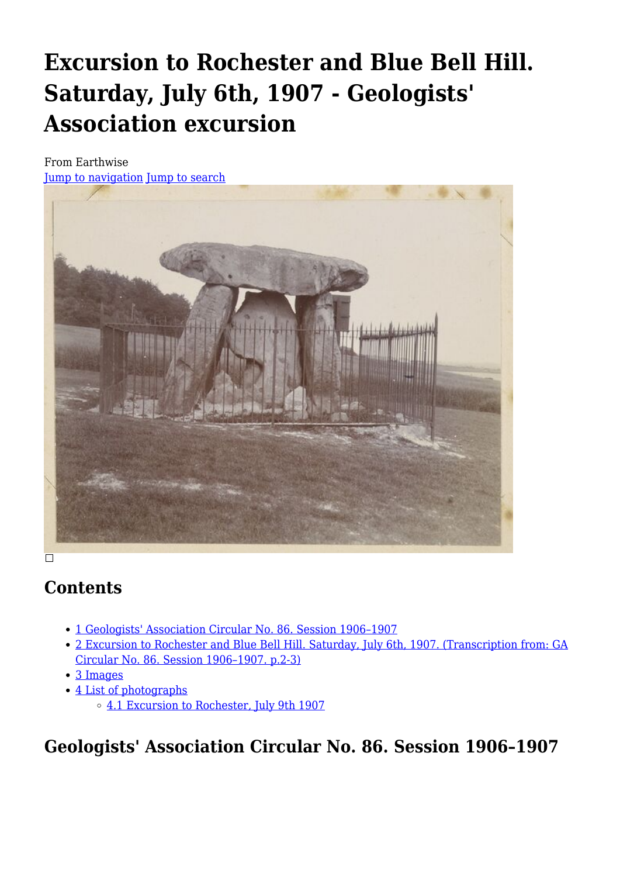# **Excursion to Rochester and Blue Bell Hill. Saturday, July 6th, 1907 - Geologists' Association excursion**

From Earthwise [Jump to navigation](#page--1-0) [Jump to search](#page--1-0)



# **Contents**

 $\Box$ 

- [1](#Geologists.27_Association_Circular_No._86._Session_1906.E2.80.931907) [Geologists' Association Circular No. 86. Session 1906–1907](#Geologists.27_Association_Circular_No._86._Session_1906.E2.80.931907)
- [2](#Excursion_to_Rochester_and_Blue_Bell_Hill._Saturday.2C_July_6th.2C_1907._.28Transcription_from:_GA_Circular_No._86._Session_1906.E2.80.931907._p.2-3.29) [Excursion to Rochester and Blue Bell Hill. Saturday, July 6th, 1907. \(Transcription from: GA](#Excursion_to_Rochester_and_Blue_Bell_Hill._Saturday.2C_July_6th.2C_1907._.28Transcription_from:_GA_Circular_No._86._Session_1906.E2.80.931907._p.2-3.29) [Circular No. 86. Session 1906–1907. p.2-3\)](#Excursion_to_Rochester_and_Blue_Bell_Hill._Saturday.2C_July_6th.2C_1907._.28Transcription_from:_GA_Circular_No._86._Session_1906.E2.80.931907._p.2-3.29)
- [3](#page--1-0) [Images](#page--1-0)
- [4](#page--1-0) [List of photographs](#page--1-0)
	- [4.1](#Excursion_to_Rochester.2C_July_9th_1907) [Excursion to Rochester, July 9th 1907](#Excursion_to_Rochester.2C_July_9th_1907)

**Geologists' Association Circular No. 86. Session 1906–1907**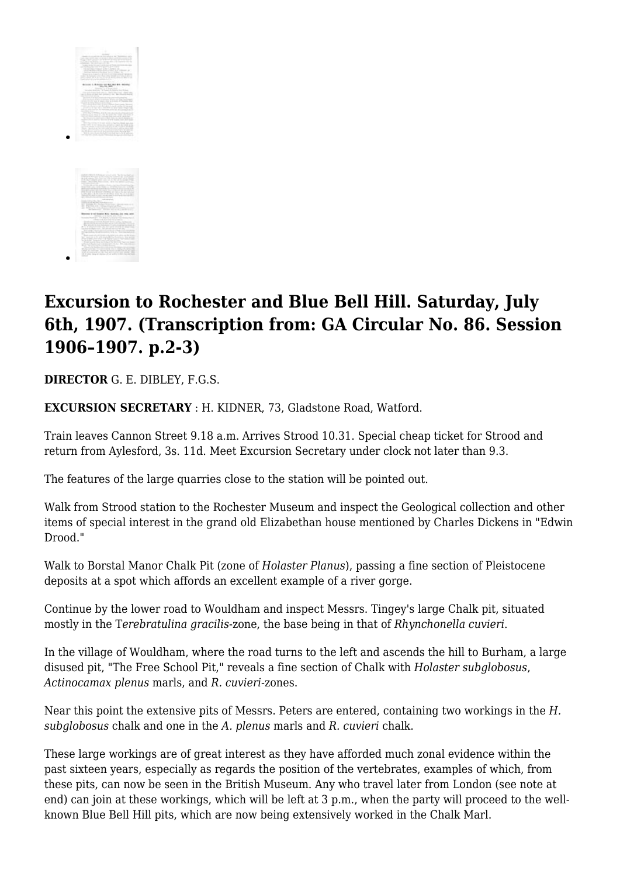

# **Excursion to Rochester and Blue Bell Hill. Saturday, July 6th, 1907. (Transcription from: GA Circular No. 86. Session 1906–1907. p.2-3)**

**DIRECTOR** G. E. DIBLEY, F.G.S.

**EXCURSION SECRETARY** : H. KIDNER, 73, Gladstone Road, Watford.

Train leaves Cannon Street 9.18 a.m. Arrives Strood 10.31. Special cheap ticket for Strood and return from Aylesford, 3s. 11d. Meet Excursion Secretary under clock not later than 9.3.

The features of the large quarries close to the station will be pointed out.

Walk from Strood station to the Rochester Museum and inspect the Geological collection and other items of special interest in the grand old Elizabethan house mentioned by Charles Dickens in "Edwin Drood."

Walk to Borstal Manor Chalk Pit (zone of *Holaster Planus*), passing a fine section of Pleistocene deposits at a spot which affords an excellent example of a river gorge.

Continue by the lower road to Wouldham and inspect Messrs. Tingey's large Chalk pit, situated mostly in the T*erebratulina gracilis*-zone, the base being in that of *Rhynchonella cuvieri*.

In the village of Wouldham, where the road turns to the left and ascends the hill to Burham, a large disused pit, "The Free School Pit," reveals a fine section of Chalk with *Holaster subglobosus*, *Actinocamax plenus* marls, and *R. cuvieri*-zones.

Near this point the extensive pits of Messrs. Peters are entered, containing two workings in the *H. subglobosus* chalk and one in the *A. plenus* marls and *R. cuvieri* chalk.

These large workings are of great interest as they have afforded much zonal evidence within the past sixteen years, especially as regards the position of the vertebrates, examples of which, from these pits, can now be seen in the British Museum. Any who travel later from London (see note at end) can join at these workings, which will be left at 3 p.m., when the party will proceed to the wellknown Blue Bell Hill pits, which are now being extensively worked in the Chalk Marl.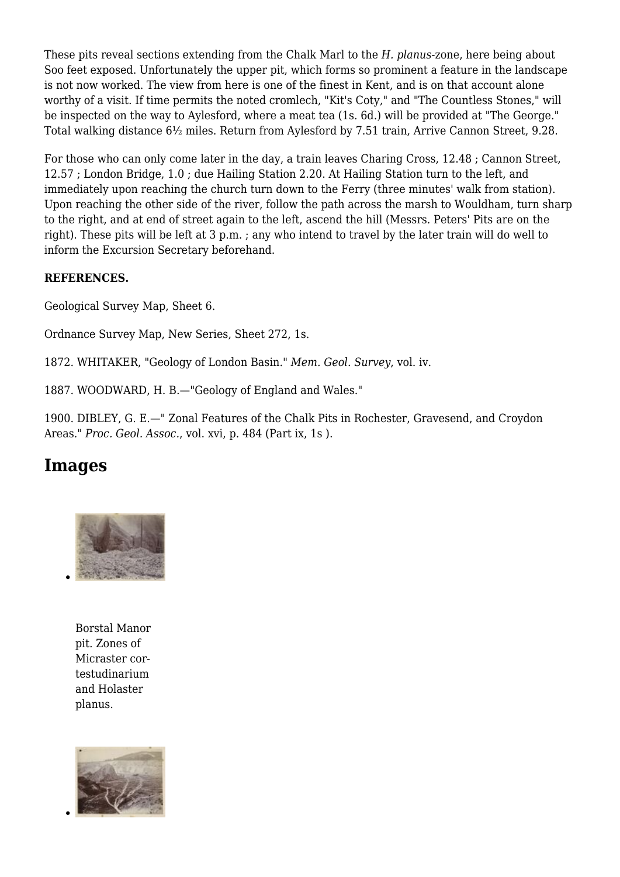These pits reveal sections extending from the Chalk Marl to the *H. planus*-zone, here being about Soo feet exposed. Unfortunately the upper pit, which forms so prominent a feature in the landscape is not now worked. The view from here is one of the finest in Kent, and is on that account alone worthy of a visit. If time permits the noted cromlech, "Kit's Coty," and "The Countless Stones," will be inspected on the way to Aylesford, where a meat tea (1s. 6d.) will be provided at "The George." Total walking distance 6½ miles. Return from Aylesford by 7.51 train, Arrive Cannon Street, 9.28.

For those who can only come later in the day, a train leaves Charing Cross, 12.48 ; Cannon Street, 12.57 ; London Bridge, 1.0 ; due Hailing Station 2.20. At Hailing Station turn to the left, and immediately upon reaching the church turn down to the Ferry (three minutes' walk from station). Upon reaching the other side of the river, follow the path across the marsh to Wouldham, turn sharp to the right, and at end of street again to the left, ascend the hill (Messrs. Peters' Pits are on the right). These pits will be left at 3 p.m. ; any who intend to travel by the later train will do well to inform the Excursion Secretary beforehand.

#### **REFERENCES.**

Geological Survey Map, Sheet 6.

Ordnance Survey Map, New Series, Sheet 272, 1s.

1872. WHITAKER, "Geology of London Basin." *Mem. Geol. Survey*, vol. iv.

1887. WOODWARD, H. B.—"Geology of England and Wales."

1900. DIBLEY, G. E.—" Zonal Features of the Chalk Pits in Rochester, Gravesend, and Croydon Areas." *Proc. Geol. Assoc.*, vol. xvi, p. 484 (Part ix, 1s ).

# **Images**



Borstal Manor pit. Zones of Micraster cortestudinarium and Holaster planus.

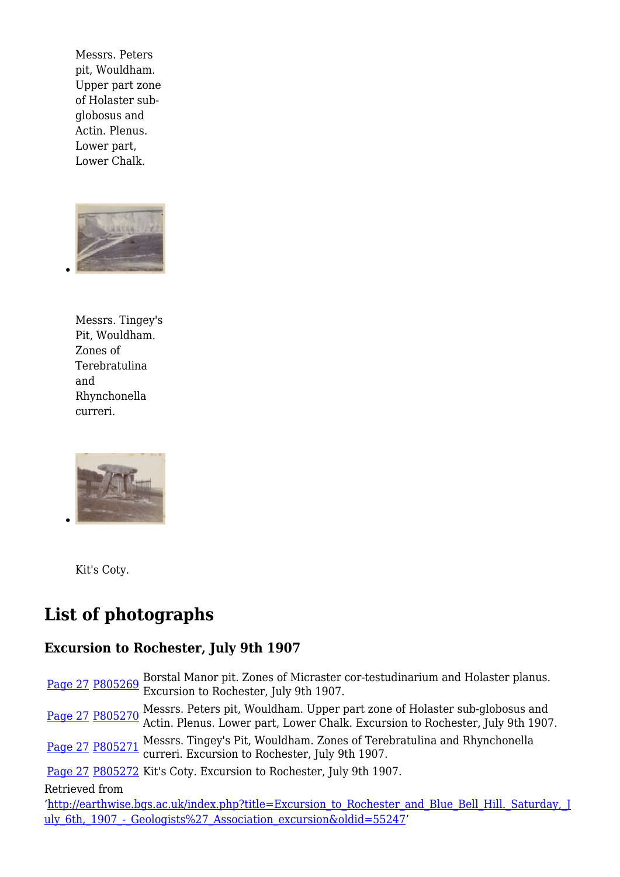Messrs. Peters pit, Wouldham. Upper part zone of Holaster subglobosus and Actin. Plenus. Lower part, Lower Chalk.



Messrs. Tingey's Pit, Wouldham. Zones of Terebratulina and Rhynchonella curreri.



Kit's Coty.

# **List of photographs**

### **Excursion to Rochester, July 9th 1907**

[Page 27](http://pubs.bgs.ac.uk/publications.html?pubID=GA007#v=d&z=2&n=5&i=P803123.jp2&y=305&x=1051) [P805269](http://geoscenic.bgs.ac.uk/asset-bank/action/viewAsset?id=393585) Borstal Manor pit. Zones of Micraster cor-testudinarium and Holaster planus. Excursion to Rochester, July 9th 1907.

[Page 27](http://pubs.bgs.ac.uk/publications.html?pubID=GA007#v=d&z=2&n=5&i=P803123.jp2&y=305&x=1051) [P805270](http://geoscenic.bgs.ac.uk/asset-bank/action/viewAsset?id=393586) Messrs. Peters pit, Wouldham. Upper part zone of Holaster sub-globosus and<br>
Page 27 P805270 Actin Planue January Lawanghell, Eugenia to Paghaetar July 0th 1005 Actin. Plenus. Lower part, Lower Chalk. Excursion to Rochester, July 9th 1907.

[Page 27](http://pubs.bgs.ac.uk/publications.html?pubID=GA007#v=d&z=2&n=5&i=P803123.jp2&y=305&x=1051) [P805271](http://geoscenic.bgs.ac.uk/asset-bank/action/viewAsset?id=393587) Messrs. Tingey's Pit, Wouldham. Zones of Terebratulina and Rhynchonella curreri. Excursion to Rochester, July 9th 1907.

[Page 27](http://pubs.bgs.ac.uk/publications.html?pubID=GA007#v=d&z=2&n=5&i=P803123.jp2&y=305&x=1051) [P805272](http://geoscenic.bgs.ac.uk/asset-bank/action/viewAsset?id=393588) Kit's Coty. Excursion to Rochester, July 9th 1907.

#### Retrieved from

'[http://earthwise.bgs.ac.uk/index.php?title=Excursion\\_to\\_Rochester\\_and\\_Blue\\_Bell\\_Hill.\\_Saturday,\\_J](http://earthwise.bgs.ac.uk/index.php?title=Excursion_to_Rochester_and_Blue_Bell_Hill._Saturday,_July_6th,_1907_-_Geologists%27_Association_excursion&oldid=55247) uly\_6th,\_1907 - Geologists%27 Association\_excursion&oldid=55247'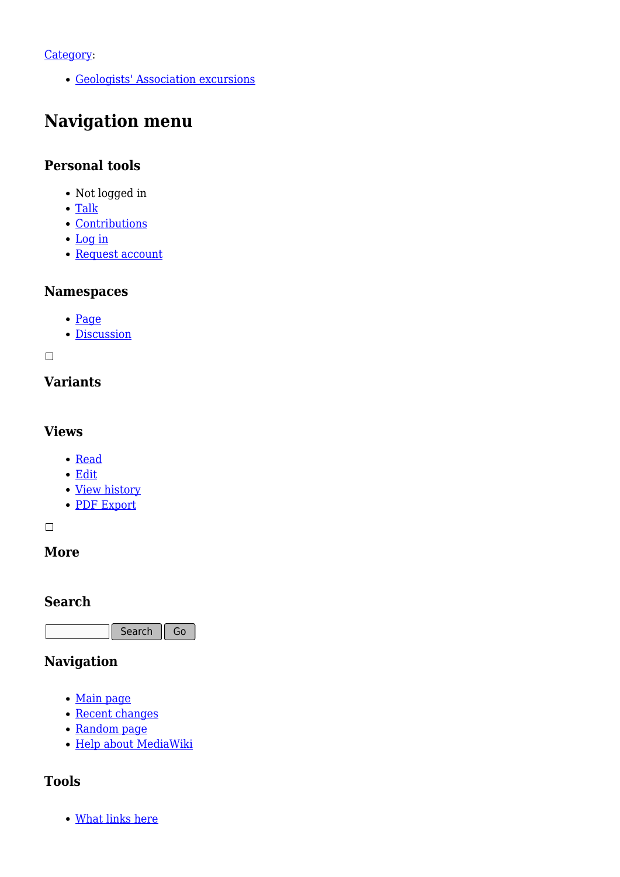#### [Category](http://earthwise.bgs.ac.uk/index.php/Special:Categories):

[Geologists' Association excursions](http://earthwise.bgs.ac.uk/index.php/Category:Geologists%27_Association_excursions)

# **Navigation menu**

### **Personal tools**

- Not logged in
- [Talk](http://earthwise.bgs.ac.uk/index.php/Special:MyTalk)
- [Contributions](http://earthwise.bgs.ac.uk/index.php/Special:MyContributions)
- [Log in](http://earthwise.bgs.ac.uk/index.php?title=Special:UserLogin&returnto=Excursion+to+Rochester+and+Blue+Bell+Hill.+Saturday%2C+July+6th%2C+1907+-+Geologists%27+Association+excursion&returntoquery=action%3Dmpdf)
- [Request account](http://earthwise.bgs.ac.uk/index.php/Special:RequestAccount)

### **Namespaces**

- [Page](http://earthwise.bgs.ac.uk/index.php/Excursion_to_Rochester_and_Blue_Bell_Hill._Saturday,_July_6th,_1907_-_Geologists%27_Association_excursion)
- [Discussion](http://earthwise.bgs.ac.uk/index.php?title=Talk:Excursion_to_Rochester_and_Blue_Bell_Hill._Saturday,_July_6th,_1907_-_Geologists%27_Association_excursion&action=edit&redlink=1)

 $\Box$ 

## **Variants**

#### **Views**

- [Read](http://earthwise.bgs.ac.uk/index.php/Excursion_to_Rochester_and_Blue_Bell_Hill._Saturday,_July_6th,_1907_-_Geologists%27_Association_excursion)
- [Edit](http://earthwise.bgs.ac.uk/index.php?title=Excursion_to_Rochester_and_Blue_Bell_Hill._Saturday,_July_6th,_1907_-_Geologists%27_Association_excursion&action=edit)
- [View history](http://earthwise.bgs.ac.uk/index.php?title=Excursion_to_Rochester_and_Blue_Bell_Hill._Saturday,_July_6th,_1907_-_Geologists%27_Association_excursion&action=history)
- [PDF Export](http://earthwise.bgs.ac.uk/index.php?title=Excursion_to_Rochester_and_Blue_Bell_Hill._Saturday,_July_6th,_1907_-_Geologists%27_Association_excursion&action=mpdf)

 $\overline{\phantom{a}}$ 

### **More**

### **Search**

Search Go

### **Navigation**

- [Main page](http://earthwise.bgs.ac.uk/index.php/Main_Page)
- [Recent changes](http://earthwise.bgs.ac.uk/index.php/Special:RecentChanges)
- [Random page](http://earthwise.bgs.ac.uk/index.php/Special:Random)
- [Help about MediaWiki](https://www.mediawiki.org/wiki/Special:MyLanguage/Help:Contents)

### **Tools**

[What links here](http://earthwise.bgs.ac.uk/index.php/Special:WhatLinksHere/Excursion_to_Rochester_and_Blue_Bell_Hill._Saturday,_July_6th,_1907_-_Geologists%27_Association_excursion)